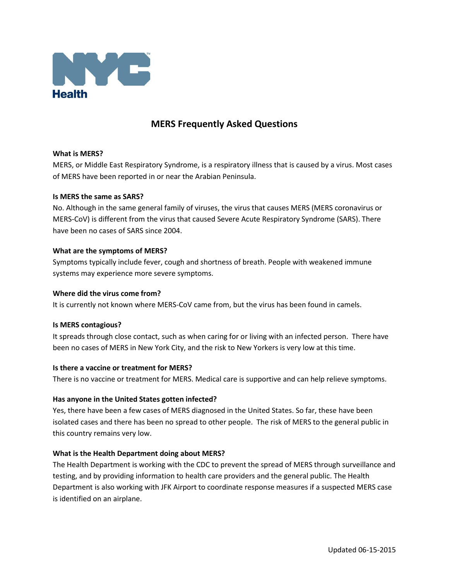

# **MERS Frequently Asked Questions**

#### **What is MERS?**

MERS, or Middle East Respiratory Syndrome, is a respiratory illness that is caused by a virus. Most cases of MERS have been reported in or near the Arabian Peninsula.

#### **Is MERS the same as SARS?**

No. Although in the same general family of viruses, the virus that causes MERS (MERS coronavirus or MERS-CoV) is different from the virus that caused Severe Acute Respiratory Syndrome (SARS). There have been no cases of SARS since 2004.

#### **What are the symptoms of MERS?**

Symptoms typically include fever, cough and shortness of breath. People with weakened immune systems may experience more severe symptoms.

#### **Where did the virus come from?**

It is currently not known where MERS-CoV came from, but the virus has been found in camels.

## **Is MERS contagious?**

It spreads through close contact, such as when caring for or living with an infected person. There have been no cases of MERS in New York City, and the risk to New Yorkers is very low at this time.

## **Is there a vaccine or treatment for MERS?**

There is no vaccine or treatment for MERS. Medical care is supportive and can help relieve symptoms.

## **Has anyone in the United States gotten infected?**

Yes, there have been a few cases of MERS diagnosed in the United States. So far, these have been isolated cases and there has been no spread to other people. The risk of MERS to the general public in this country remains very low.

## **What is the Health Department doing about MERS?**

The Health Department is working with the CDC to prevent the spread of MERS through surveillance and testing, and by providing information to health care providers and the general public. The Health Department is also working with JFK Airport to coordinate response measures if a suspected MERS case is identified on an airplane.